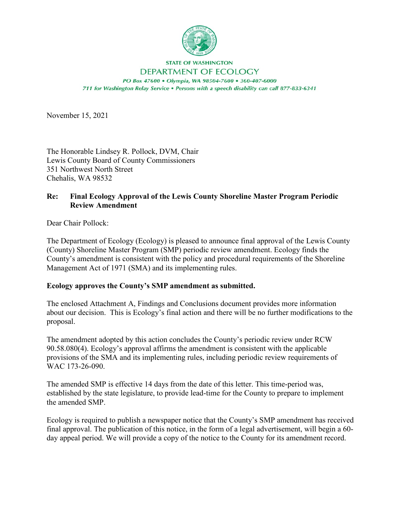

## **STATE OF WASHINGTON** DEPARTMENT OF ECOLOGY

PO Box 47600 . Olympia, WA 98504-7600 . 360-407-6000 711 for Washington Relay Service . Persons with a speech disability can call 877-833-6341

November 15, 2021

The Honorable Lindsey R. Pollock, DVM, Chair Lewis County Board of County Commissioners 351 Northwest North Street Chehalis, WA 98532

## **Re: Final Ecology Approval of the Lewis County Shoreline Master Program Periodic Review Amendment**

Dear Chair Pollock:

The Department of Ecology (Ecology) is pleased to announce final approval of the Lewis County (County) Shoreline Master Program (SMP) periodic review amendment. Ecology finds the County's amendment is consistent with the policy and procedural requirements of the Shoreline Management Act of 1971 (SMA) and its implementing rules.

## **Ecology approves the County's SMP amendment as submitted.**

The enclosed Attachment A, Findings and Conclusions document provides more information about our decision. This is Ecology's final action and there will be no further modifications to the proposal.

The amendment adopted by this action concludes the County's periodic review under RCW 90.58.080(4). Ecology's approval affirms the amendment is consistent with the applicable provisions of the SMA and its implementing rules, including periodic review requirements of WAC 173-26-090.

The amended SMP is effective 14 days from the date of this letter. This time-period was, established by the state legislature, to provide lead-time for the County to prepare to implement the amended SMP.

Ecology is required to publish a newspaper notice that the County's SMP amendment has received final approval. The publication of this notice, in the form of a legal advertisement, will begin a 60 day appeal period. We will provide a copy of the notice to the County for its amendment record.